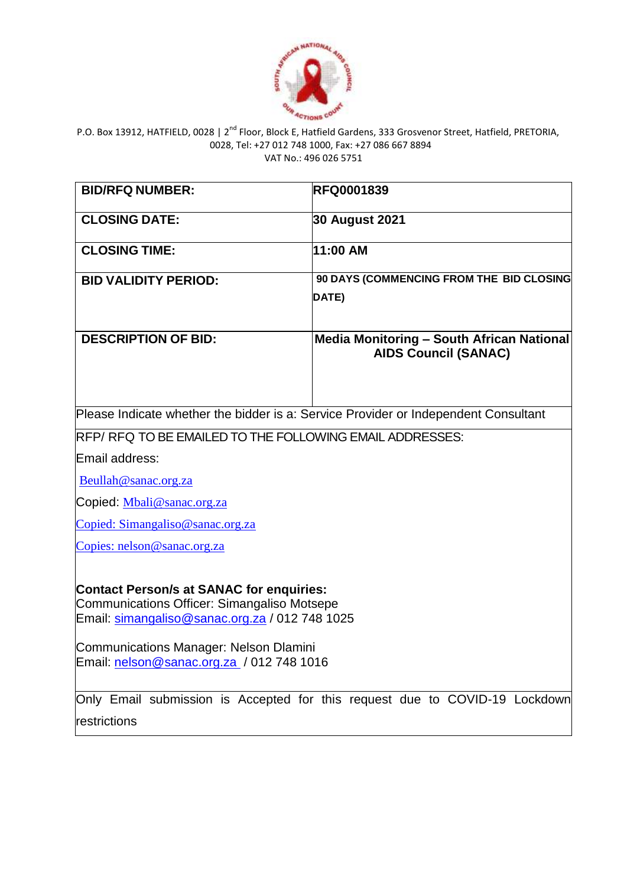

| <b>BID/RFQ NUMBER:</b>                                                                                                                                                                            | <b>RFQ0001839</b>                                                                   |
|---------------------------------------------------------------------------------------------------------------------------------------------------------------------------------------------------|-------------------------------------------------------------------------------------|
| <b>CLOSING DATE:</b>                                                                                                                                                                              | 30 August 2021                                                                      |
| <b>CLOSING TIME:</b>                                                                                                                                                                              | 11:00 AM                                                                            |
| <b>BID VALIDITY PERIOD:</b>                                                                                                                                                                       | 90 DAYS (COMMENCING FROM THE BID CLOSING                                            |
|                                                                                                                                                                                                   | DATE)                                                                               |
| <b>DESCRIPTION OF BID:</b>                                                                                                                                                                        | <b>Media Monitoring - South African National</b><br><b>AIDS Council (SANAC)</b>     |
|                                                                                                                                                                                                   | Please Indicate whether the bidder is a: Service Provider or Independent Consultant |
| RFP/RFQ TO BE EMAILED TO THE FOLLOWING EMAIL ADDRESSES:                                                                                                                                           |                                                                                     |
| Email address:                                                                                                                                                                                    |                                                                                     |
| Beullah@sanac.org.za                                                                                                                                                                              |                                                                                     |
| Copied: Mbali@sanac.org.za                                                                                                                                                                        |                                                                                     |
| Copied: Simangaliso@sanac.org.za                                                                                                                                                                  |                                                                                     |
| Copies: nelson@sanac.org.za                                                                                                                                                                       |                                                                                     |
| <b>Contact Person/s at SANAC for enquiries:</b><br>Communications Officer: Simangaliso Motsepe<br>Email: simangaliso@sanac.org.za / 012 748 1025<br><b>Communications Manager: Nelson Dlamini</b> |                                                                                     |
| Email: nelson@sanac.org.za / 012 748 1016                                                                                                                                                         |                                                                                     |
| Only Email submission is Accepted for this request due to COVID-19 Lockdown                                                                                                                       |                                                                                     |
| restrictions                                                                                                                                                                                      |                                                                                     |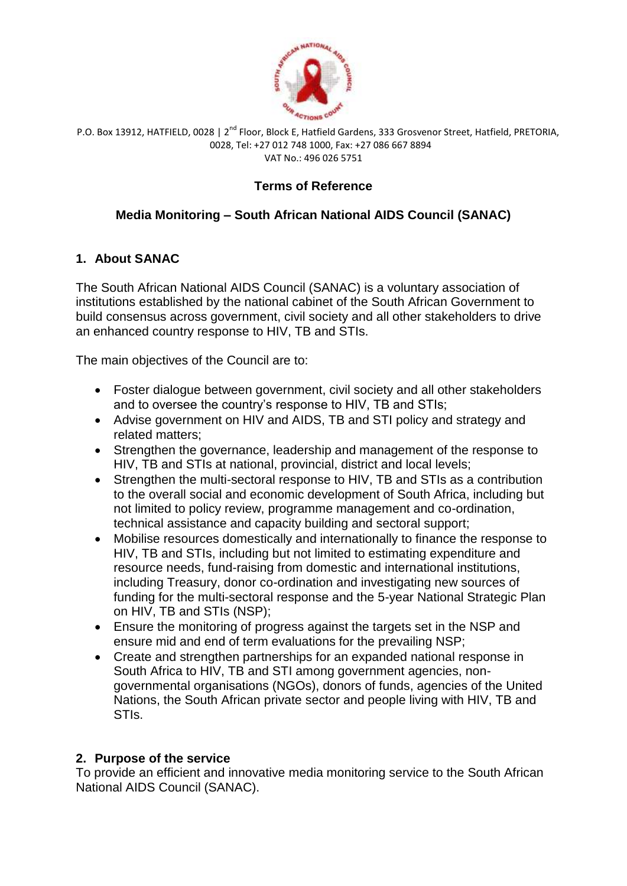

# **Terms of Reference**

# **Media Monitoring – South African National AIDS Council (SANAC)**

# **1. About SANAC**

The South African National AIDS Council (SANAC) is a voluntary association of institutions established by the national cabinet of the South African Government to build consensus across government, civil society and all other stakeholders to drive an enhanced country response to HIV, TB and STIs.

The main objectives of the Council are to:

- Foster dialogue between government, civil society and all other stakeholders and to oversee the country's response to HIV, TB and STIs;
- Advise government on HIV and AIDS, TB and STI policy and strategy and related matters;
- Strengthen the governance, leadership and management of the response to HIV, TB and STIs at national, provincial, district and local levels;
- Strengthen the multi-sectoral response to HIV, TB and STIs as a contribution to the overall social and economic development of South Africa, including but not limited to policy review, programme management and co-ordination, technical assistance and capacity building and sectoral support;
- Mobilise resources domestically and internationally to finance the response to HIV, TB and STIs, including but not limited to estimating expenditure and resource needs, fund-raising from domestic and international institutions, including Treasury, donor co-ordination and investigating new sources of funding for the multi-sectoral response and the 5-year National Strategic Plan on HIV, TB and STIs (NSP);
- Ensure the monitoring of progress against the targets set in the NSP and ensure mid and end of term evaluations for the prevailing NSP;
- Create and strengthen partnerships for an expanded national response in South Africa to HIV, TB and STI among government agencies, nongovernmental organisations (NGOs), donors of funds, agencies of the United Nations, the South African private sector and people living with HIV, TB and STIs.

# **2. Purpose of the service**

To provide an efficient and innovative media monitoring service to the South African National AIDS Council (SANAC).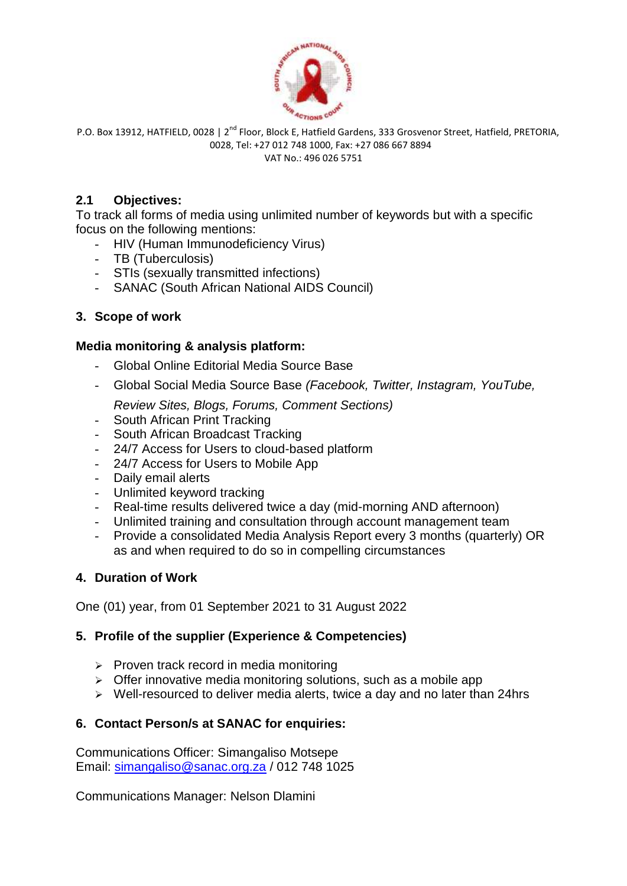

## **2.1 Objectives:**

To track all forms of media using unlimited number of keywords but with a specific focus on the following mentions:

- HIV (Human Immunodeficiency Virus)
- TB (Tuberculosis)
- STIs (sexually transmitted infections)
- SANAC (South African National AIDS Council)

## **3. Scope of work**

## **Media monitoring & analysis platform:**

- Global Online Editorial Media Source Base
- Global Social Media Source Base *(Facebook, Twitter, Instagram, YouTube, Review Sites, Blogs, Forums, Comment Sections)*
- South African Print Tracking
- South African Broadcast Tracking
- 24/7 Access for Users to cloud-based platform
- 24/7 Access for Users to Mobile App
- Daily email alerts
- Unlimited keyword tracking
- Real-time results delivered twice a day (mid-morning AND afternoon)
- Unlimited training and consultation through account management team
- Provide a consolidated Media Analysis Report every 3 months (quarterly) OR as and when required to do so in compelling circumstances

## **4. Duration of Work**

One (01) year, from 01 September 2021 to 31 August 2022

## **5. Profile of the supplier (Experience & Competencies)**

- $\triangleright$  Proven track record in media monitoring
- $\triangleright$  Offer innovative media monitoring solutions, such as a mobile app
- $\triangleright$  Well-resourced to deliver media alerts, twice a day and no later than 24hrs

## **6. Contact Person/s at SANAC for enquiries:**

Communications Officer: Simangaliso Motsepe Email: [simangaliso@sanac.org.za](mailto:simangaliso@sanac.org.za) / 012 748 1025

Communications Manager: Nelson Dlamini